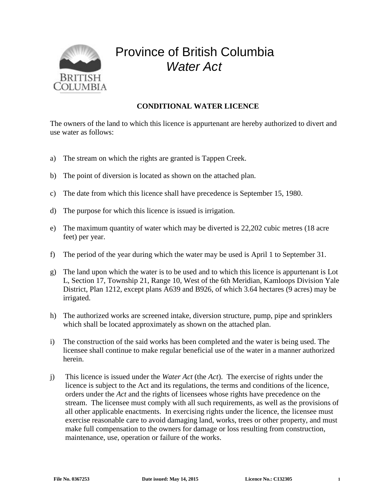

## Province of British Columbia *Water Act*

## **CONDITIONAL WATER LICENCE**

The owners of the land to which this licence is appurtenant are hereby authorized to divert and use water as follows:

- a) The stream on which the rights are granted is Tappen Creek.
- b) The point of diversion is located as shown on the attached plan.
- c) The date from which this licence shall have precedence is September 15, 1980.
- d) The purpose for which this licence is issued is irrigation.
- e) The maximum quantity of water which may be diverted is 22,202 cubic metres (18 acre feet) per year.
- f) The period of the year during which the water may be used is April 1 to September 31.
- g) The land upon which the water is to be used and to which this licence is appurtenant is Lot L, Section 17, Township 21, Range 10, West of the 6th Meridian, Kamloops Division Yale District, Plan 1212, except plans A639 and B926, of which 3.64 hectares (9 acres) may be irrigated.
- h) The authorized works are screened intake, diversion structure, pump, pipe and sprinklers which shall be located approximately as shown on the attached plan.
- i) The construction of the said works has been completed and the water is being used. The licensee shall continue to make regular beneficial use of the water in a manner authorized herein.
- j) This licence is issued under the *Water Act* (the *Act*). The exercise of rights under the licence is subject to the Act and its regulations, the terms and conditions of the licence, orders under the *Act* and the rights of licensees whose rights have precedence on the stream. The licensee must comply with all such requirements, as well as the provisions of all other applicable enactments. In exercising rights under the licence, the licensee must exercise reasonable care to avoid damaging land, works, trees or other property, and must make full compensation to the owners for damage or loss resulting from construction, maintenance, use, operation or failure of the works.